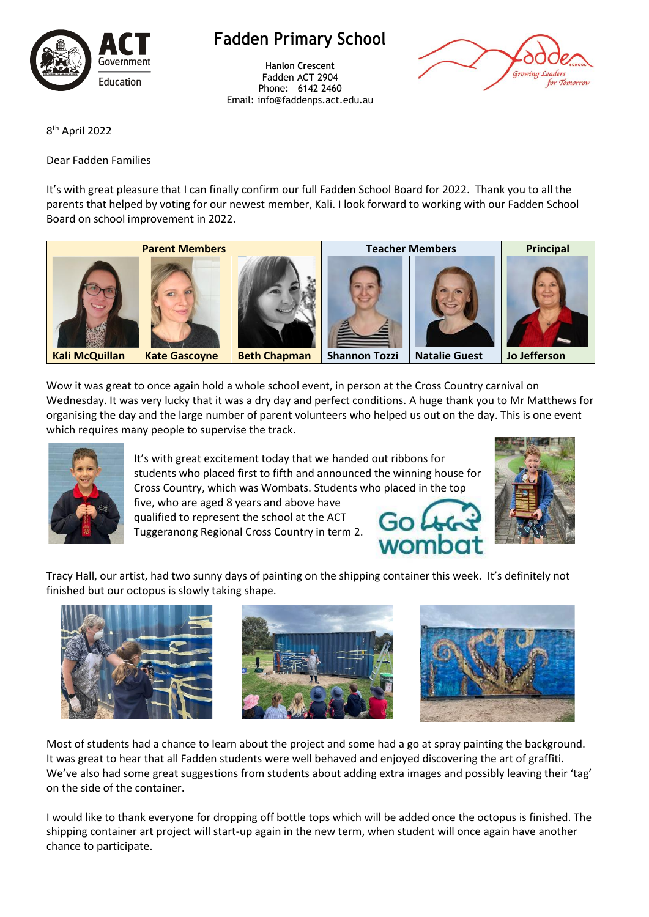

**Fadden Primary School**

**Hanlon Crescent** Fadden ACT 2904 Phone: 6142 2460 Email: info@faddenps.act.edu.au



8 th April 2022

Dear Fadden Families

It's with great pleasure that I can finally confirm our full Fadden School Board for 2022. Thank you to all the parents that helped by voting for our newest member, Kali. I look forward to working with our Fadden School Board on school improvement in 2022.



Wow it was great to once again hold a whole school event, in person at the Cross Country carnival on Wednesday. It was very lucky that it was a dry day and perfect conditions. A huge thank you to Mr Matthews for organising the day and the large number of parent volunteers who helped us out on the day. This is one event which requires many people to supervise the track.



It's with great excitement today that we handed out ribbons for students who placed first to fifth and announced the winning house for Cross Country, which was Wombats. Students who placed in the top

five, who are aged 8 years and above have qualified to represent the school at the ACT Tuggeranong Regional Cross Country in term 2.





Tracy Hall, our artist, had two sunny days of painting on the shipping container this week. It's definitely not finished but our octopus is slowly taking shape.







Most of students had a chance to learn about the project and some had a go at spray painting the background. It was great to hear that all Fadden students were well behaved and enjoyed discovering the art of graffiti. We've also had some great suggestions from students about adding extra images and possibly leaving their 'tag' on the side of the container.

I would like to thank everyone for dropping off bottle tops which will be added once the octopus is finished. The shipping container art project will start-up again in the new term, when student will once again have another chance to participate.